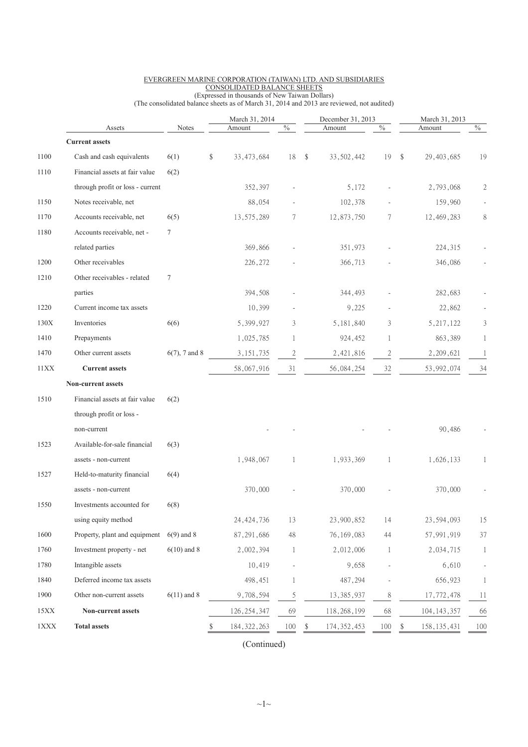|                 |                                  | March 31, 2014<br>$\%$ |    |               |                | December 31, 2013 | $\%$          | March 31, 2013<br>$\frac{0}{6}$<br>Amount |                     |     |
|-----------------|----------------------------------|------------------------|----|---------------|----------------|-------------------|---------------|-------------------------------------------|---------------------|-----|
|                 | Assets<br><b>Current assets</b>  | Notes                  |    | Amount        |                |                   | Amount        |                                           |                     |     |
| 1100            | Cash and cash equivalents        | 6(1)                   | \$ | 33, 473, 684  | 18             | \$                | 33, 502, 442  | 19                                        | \$<br>29, 403, 685  | 19  |
| 1110            | Financial assets at fair value   | 6(2)                   |    |               |                |                   |               |                                           |                     |     |
|                 | through profit or loss - current |                        |    | 352,397       |                |                   | 5,172         |                                           | 2,793,068           | 2   |
| 1150            | Notes receivable, net            |                        |    | 88,054        |                |                   | 102,378       |                                           | 159,960             |     |
| 1170            | Accounts receivable, net         | 6(5)                   |    | 13,575,289    | 7              |                   | 12,873,750    | 7                                         | 12,469,283          | 8   |
| 1180            | Accounts receivable, net -       | $\tau$                 |    |               |                |                   |               |                                           |                     |     |
|                 | related parties                  |                        |    | 369,866       |                |                   | 351,973       |                                           | 224,315             |     |
| 1200            | Other receivables                |                        |    | 226,272       |                |                   | 366,713       |                                           | 346,086             |     |
| 1210            | Other receivables - related      | 7                      |    |               |                |                   |               |                                           |                     |     |
|                 | parties                          |                        |    | 394,508       |                |                   | 344,493       |                                           | 282,683             |     |
| 1220            | Current income tax assets        |                        |    | 10,399        |                |                   | 9,225         |                                           | 22,862              |     |
| 130X            | Inventories                      | 6(6)                   |    | 5,399,927     | 3              |                   | 5, 181, 840   | 3                                         | 5, 217, 122         | 3   |
| 1410            | Prepayments                      |                        |    | 1,025,785     | 1              |                   | 924,452       | 1                                         | 863,389             |     |
| 1470            | Other current assets             | $6(7)$ , 7 and 8       |    | 3, 151, 735   | $\overline{c}$ |                   | 2,421,816     | $\overline{c}$                            | 2,209,621           | 1   |
| 11XX            | <b>Current assets</b>            |                        |    | 58,067,916    | 31             |                   | 56,084,254    | $32\,$                                    | 53,992,074          | 34  |
|                 | Non-current assets               |                        |    |               |                |                   |               |                                           |                     |     |
| 1510            | Financial assets at fair value   | 6(2)                   |    |               |                |                   |               |                                           |                     |     |
|                 | through profit or loss -         |                        |    |               |                |                   |               |                                           |                     |     |
|                 | non-current                      |                        |    |               |                |                   |               |                                           | 90,486              |     |
| 1523            | Available-for-sale financial     | 6(3)                   |    |               |                |                   |               |                                           |                     |     |
|                 | assets - non-current             |                        |    | 1,948,067     | 1              |                   | 1,933,369     | 1                                         | 1,626,133           | 1   |
| 1527            | Held-to-maturity financial       | 6(4)                   |    |               |                |                   |               |                                           |                     |     |
|                 | assets - non-current             |                        |    | 370,000       |                |                   | 370,000       |                                           | 370,000             |     |
| 1550            | Investments accounted for        | 6(8)                   |    |               |                |                   |               |                                           |                     |     |
|                 | using equity method              |                        |    | 24, 424, 736  | 13             |                   | 23,900,852    | 14                                        | 23,594,093          | 15  |
| 1600            | Property, plant and equipment    | $6(9)$ and 8           |    | 87, 291, 686  | 48             |                   | 76, 169, 083  | 44                                        | 57,991,919          | 37  |
| 1760            | Investment property - net        | $6(10)$ and 8          |    | 2,002,394     | 1              |                   | 2,012,006     | 1                                         | 2,034,715           | 1   |
| 1780            | Intangible assets                |                        |    | 10,419        |                |                   | 9,658         |                                           | 6,610               |     |
| 1840            | Deferred income tax assets       |                        |    | 498,451       | 1              |                   | 487,294       |                                           | 656,923             |     |
| 1900            | Other non-current assets         | $6(11)$ and 8          |    | 9,708,594     | $\mathfrak s$  |                   | 13, 385, 937  | 8                                         | 17,772,478          | 11  |
| 15XX            | Non-current assets               |                        |    | 126, 254, 347 | 69             |                   | 118, 268, 199 | 68                                        | 104, 143, 357       | 66  |
| $1\mathbf{XXX}$ | <b>Total assets</b>              |                        | \$ | 184, 322, 263 | 100            | \$                | 174, 352, 453 | 100                                       | \$<br>158, 135, 431 | 100 |

### EVERGREEN MARINE CORPORATION (TAIWAN) LTD. AND SUBSIDIARIES CONSOLIDATED BALANCE SHEETS

(Expressed in thousands of New Taiwan Dollars) (The consolidated balance sheets as of March 31, 2014 and 2013 are reviewed, not audited)

(Continued)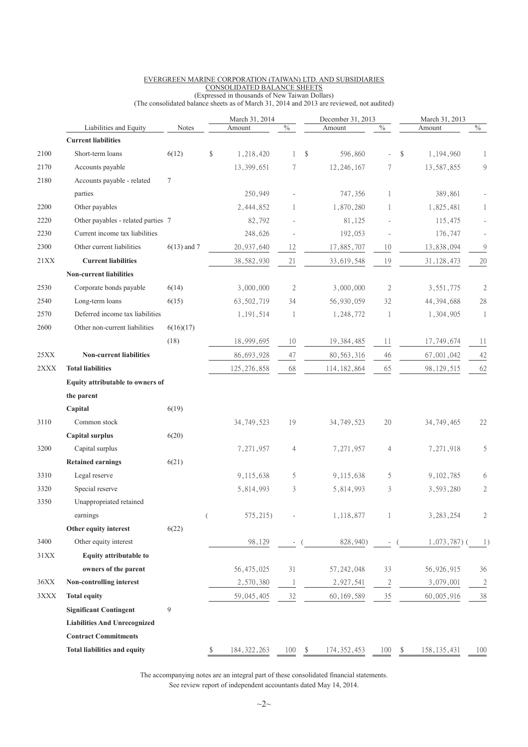|             |                                     |               |                | March 31, 2014 |                | December 31, 2013   |                          | March 31, 2013      |                |  |
|-------------|-------------------------------------|---------------|----------------|----------------|----------------|---------------------|--------------------------|---------------------|----------------|--|
|             | Liabilities and Equity              | Notes         |                | Amount         | $\%$           | Amount              | $\%$                     | Amount              | $\%$           |  |
|             | <b>Current liabilities</b>          |               |                |                |                |                     |                          |                     |                |  |
| 2100        | Short-term loans                    | 6(12)         | \$             | 1,218,420      | 1              | \$<br>596,860       |                          | \$<br>1,194,960     | 1              |  |
| 2170        | Accounts payable                    |               |                | 13,399,651     | 7              | 12, 246, 167        | 7                        | 13,587,855          | 9              |  |
| 2180        | Accounts payable - related          | $\tau$        |                |                |                |                     |                          |                     |                |  |
|             | parties                             |               |                | 250,949        |                | 747,356             | 1                        | 389,861             |                |  |
| 2200        | Other payables                      |               |                | 2,444,852      | 1              | 1,870,280           | 1                        | 1,825,481           | 1              |  |
| 2220        | Other payables - related parties 7  |               |                | 82,792         |                | 81,125              |                          | 115,475             |                |  |
| 2230        | Current income tax liabilities      |               |                | 248,626        |                | 192,053             |                          | 176,747             |                |  |
| 2300        | Other current liabilities           | $6(13)$ and 7 |                | 20,937,640     | 12             | 17,885,707          | 10                       | 13,838,094          | $\mathcal{G}$  |  |
| <b>21XX</b> | <b>Current liabilities</b>          |               |                | 38,582,930     | 21             | 33,619,548          | 19                       | 31, 128, 473        | $20\,$         |  |
|             | <b>Non-current liabilities</b>      |               |                |                |                |                     |                          |                     |                |  |
| 2530        | Corporate bonds payable             | 6(14)         |                | 3,000,000      | $\overline{2}$ | 3,000,000           | $\mathfrak{2}$           | 3,551,775           | 2              |  |
| 2540        | Long-term loans                     | 6(15)         |                | 63,502,719     | 34             | 56,930,059          | 32                       | 44, 394, 688        | 28             |  |
| 2570        | Deferred income tax liabilities     |               |                | 1, 191, 514    | 1              | 1,248,772           | 1                        | 1,304,905           | $\mathbf{1}$   |  |
| 2600        | Other non-current liabilities       | 6(16)(17)     |                |                |                |                     |                          |                     |                |  |
|             |                                     | (18)          |                | 18,999,695     | 10             | 19, 384, 485        | 11                       | 17,749,674          | 11             |  |
| 25XX        | <b>Non-current liabilities</b>      |               |                | 86,693,928     | 47             | 80, 563, 316        | 46                       | 67,001,042          | 42             |  |
| 2XXX        | <b>Total liabilities</b>            |               |                | 125, 276, 858  | 68             | 114, 182, 864       | 65                       | 98, 129, 515        | 62             |  |
|             | Equity attributable to owners of    |               |                |                |                |                     |                          |                     |                |  |
|             | the parent                          |               |                |                |                |                     |                          |                     |                |  |
|             | Capital                             | 6(19)         |                |                |                |                     |                          |                     |                |  |
| 3110        | Common stock                        |               |                | 34, 749, 523   | 19             | 34, 749, 523        | $20\,$                   | 34, 749, 465        | 22             |  |
|             | <b>Capital surplus</b>              | 6(20)         |                |                |                |                     |                          |                     |                |  |
| 3200        | Capital surplus                     |               |                | 7,271,957      | $\overline{4}$ | 7,271,957           | $\overline{4}$           | 7,271,918           | 5              |  |
|             | <b>Retained earnings</b>            | 6(21)         |                |                |                |                     |                          |                     |                |  |
| 3310        | Legal reserve                       |               |                | 9,115,638      | 5              | 9,115,638           | 5                        | 9,102,785           | 6              |  |
| 3320        | Special reserve                     |               |                | 5,814,993      | 3              | 5,814,993           | 3                        | 3,593,280           | $\mathfrak{2}$ |  |
| 3350        | Unappropriated retained             |               |                |                |                |                     |                          |                     |                |  |
|             | earnings                            |               | $\overline{(}$ | 575,215)       |                | 1,118,877           | 1                        | 3, 283, 254         | 2              |  |
|             | Other equity interest               | 6(22)         |                |                |                |                     |                          |                     |                |  |
| 3400        | Other equity interest               |               |                | 98,129         | $\sim$         | 828,940)            | $\overline{\phantom{a}}$ | $1,073,787$ ) (     | 1)             |  |
| 31XX        | <b>Equity attributable to</b>       |               |                |                |                |                     |                          |                     |                |  |
|             | owners of the parent                |               |                | 56, 475, 025   | 31             | 57, 242, 048        | 33                       | 56,926,915          | 36             |  |
| 36XX        | Non-controlling interest            |               |                | 2,570,380      | $\mathbf{1}$   | 2,927,541           | $\overline{2}$           | 3,079,001           | $\overline{2}$ |  |
| 3XXX        | <b>Total equity</b>                 |               |                | 59,045,405     | 32             | 60, 169, 589        | $35\,$                   | 60,005,916          | $38\,$         |  |
|             | <b>Significant Contingent</b>       | 9             |                |                |                |                     |                          |                     |                |  |
|             | <b>Liabilities And Unrecognized</b> |               |                |                |                |                     |                          |                     |                |  |
|             | <b>Contract Commitments</b>         |               |                |                |                |                     |                          |                     |                |  |
|             |                                     |               |                |                |                |                     |                          |                     |                |  |
|             | <b>Total liabilities and equity</b> |               | \$             | 184, 322, 263  | 100            | \$<br>174, 352, 453 | 100                      | \$<br>158, 135, 431 | 100            |  |

#### EVERGREEN MARINE CORPORATION (TAIWAN) LTD. AND SUBSIDIARIES CONSOLIDATED BALANCE SHEETS

(Expressed in thousands of New Taiwan Dollars) (The consolidated balance sheets as of March 31, 2014 and 2013 are reviewed, not audited)

The accompanying notes are an integral part of these consolidated financial statements. See review report of independent accountants dated May 14, 2014.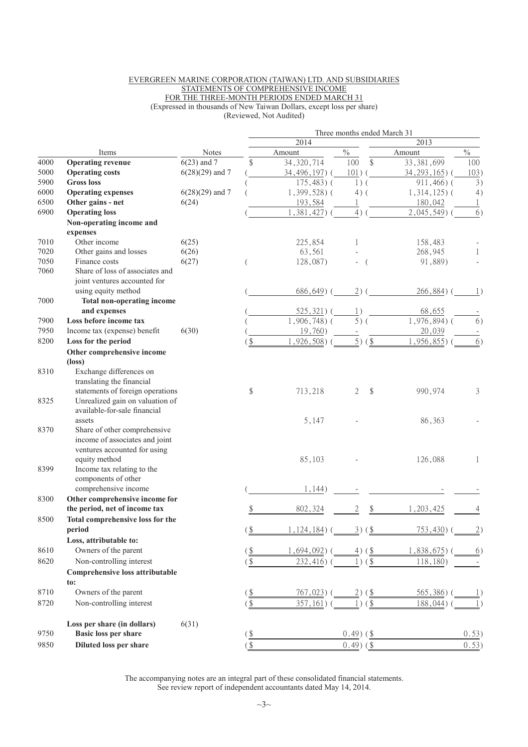#### EVERGREEN MARINE CORPORATION (TAIWAN) LTD. AND SUBSIDIARIES STATEMENTS OF COMPREHENSIVE INCOME FOR THE THREE-MONTH PERIODS ENDED MARCH 31 (Expressed in thousands of New Taiwan Dollars, except loss per share) (Reviewed, Not Audited)

| 2014<br>2013<br>$\frac{0}{0}$<br>$\frac{0}{0}$<br>Notes<br>Amount<br>Amount<br>Items<br>\$<br>33,381,699<br>$6(23)$ and 7<br>\$<br>34, 320, 714<br><b>Operating revenue</b><br>100<br>100<br>$6(28)(29)$ and 7<br><b>Operating costs</b><br>34,496,197)(<br>$101)$ (<br>34, 293, 165) (<br>103)<br>$175,483$ ) (<br><b>Gross loss</b><br>911,466)(<br>3)<br>$1)$ (<br>$6(28)(29)$ and 7<br><b>Operating expenses</b><br>$1,399,528$ ) (<br>$1,314,125$ ) (<br>$4)$ (<br>4)<br>Other gains - net<br>6(24)<br>193,584<br>180,042<br>1<br>6)<br>$4)$ (<br><b>Operating loss</b><br>1,381,427)<br>$2,045,549$ ) (<br>Non-operating income and<br>expenses<br>Other income<br>225,854<br>7010<br>6(25)<br>158,483<br>1<br>7020<br>6(26)<br>Other gains and losses<br>63,561<br>268,945<br>$\mathbf{1}$<br>7050<br>Finance costs<br>6(27)<br>128,087)<br>91,889)<br>7060<br>Share of loss of associates and<br>joint ventures accounted for<br>using equity method<br>$686,649$ ) (<br>$2)$ (<br>266,884)<br>$\perp$<br>7000<br><b>Total non-operating income</b><br>and expenses<br>68,655<br>$525,321)$ (<br>1)<br>$1,906,748$ ) (<br>$5)$ (<br>$1,976,894$ (<br>6)<br>7900<br>Loss before income tax<br>7950<br>Income tax (expense) benefit<br>6(30)<br>19,760)<br>20,039<br>$\overline{5})$ ( $\underline{\$}$ )<br>8200<br>1,926,508)<br>1,956,855)<br>6)<br>Loss for the period<br>\$<br>Other comprehensive income<br>$(\text{loss})$<br>Exchange differences on<br>8310<br>translating the financial<br>statements of foreign operations<br>\$<br>\$<br>713,218<br>2<br>990,974<br>3<br>Unrealized gain on valuation of<br>8325<br>available-for-sale financial<br>assets<br>5,147<br>86,363<br>8370<br>Share of other comprehensive<br>income of associates and joint<br>ventures accounted for using<br>equity method<br>85,103<br>126,088<br>1<br>Income tax relating to the<br>8399<br>components of other<br>comprehensive income<br>1,144)<br>Other comprehensive income for<br>the period, net of income tax<br>802,324<br>2<br>1,203,425<br>Total comprehensive loss for the<br>8500<br>period<br>$($ \$<br>1, 124, 184)<br>$3)$ (\$)<br>753,430)<br>(2)<br>Loss, attributable to:<br>Owners of the parent<br>$($ \$<br>$1,694,092$ (<br>$4)$ (\$)<br>$1,838,675$ (<br>6)<br>Non-controlling interest<br>8620<br>$232,416$ )<br>$1)$ (\$<br>118,180)<br>$($ \$<br>Comprehensive loss attributable<br>to:<br>8710<br>Owners of the parent<br>$\frac{1}{2}$<br>767,023) (<br>$2)$ (\$)<br>565,386)<br>$\perp$<br>Non-controlling interest<br>$($ \$<br>8720<br>$357,161)$ (<br>$1)($ \$<br>188,044)<br>1)<br>6(31)<br>Loss per share (in dollars)<br>9750<br><b>Basic loss per share</b><br>$0.49$ ) (\$<br>0.53)<br>$\underline{\$}$<br>$\overline{\mathcal{L}}$<br><b>Diluted loss per share</b><br>$0.49$ ) (\$<br>0.53)<br>9850 |      |  | Three months ended March 31 |  |  |  |  |  |  |  |  |  |
|----------------------------------------------------------------------------------------------------------------------------------------------------------------------------------------------------------------------------------------------------------------------------------------------------------------------------------------------------------------------------------------------------------------------------------------------------------------------------------------------------------------------------------------------------------------------------------------------------------------------------------------------------------------------------------------------------------------------------------------------------------------------------------------------------------------------------------------------------------------------------------------------------------------------------------------------------------------------------------------------------------------------------------------------------------------------------------------------------------------------------------------------------------------------------------------------------------------------------------------------------------------------------------------------------------------------------------------------------------------------------------------------------------------------------------------------------------------------------------------------------------------------------------------------------------------------------------------------------------------------------------------------------------------------------------------------------------------------------------------------------------------------------------------------------------------------------------------------------------------------------------------------------------------------------------------------------------------------------------------------------------------------------------------------------------------------------------------------------------------------------------------------------------------------------------------------------------------------------------------------------------------------------------------------------------------------------------------------------------------------------------------------------------------------------------------------------------------------------------------------------------------------------------------------------------------------------------------------------------------------------------------------------------------------------------------------------------------------------------------------------------------------------------------------------------------------------------------------|------|--|-----------------------------|--|--|--|--|--|--|--|--|--|
|                                                                                                                                                                                                                                                                                                                                                                                                                                                                                                                                                                                                                                                                                                                                                                                                                                                                                                                                                                                                                                                                                                                                                                                                                                                                                                                                                                                                                                                                                                                                                                                                                                                                                                                                                                                                                                                                                                                                                                                                                                                                                                                                                                                                                                                                                                                                                                                                                                                                                                                                                                                                                                                                                                                                                                                                                                              |      |  |                             |  |  |  |  |  |  |  |  |  |
|                                                                                                                                                                                                                                                                                                                                                                                                                                                                                                                                                                                                                                                                                                                                                                                                                                                                                                                                                                                                                                                                                                                                                                                                                                                                                                                                                                                                                                                                                                                                                                                                                                                                                                                                                                                                                                                                                                                                                                                                                                                                                                                                                                                                                                                                                                                                                                                                                                                                                                                                                                                                                                                                                                                                                                                                                                              |      |  |                             |  |  |  |  |  |  |  |  |  |
|                                                                                                                                                                                                                                                                                                                                                                                                                                                                                                                                                                                                                                                                                                                                                                                                                                                                                                                                                                                                                                                                                                                                                                                                                                                                                                                                                                                                                                                                                                                                                                                                                                                                                                                                                                                                                                                                                                                                                                                                                                                                                                                                                                                                                                                                                                                                                                                                                                                                                                                                                                                                                                                                                                                                                                                                                                              | 4000 |  |                             |  |  |  |  |  |  |  |  |  |
|                                                                                                                                                                                                                                                                                                                                                                                                                                                                                                                                                                                                                                                                                                                                                                                                                                                                                                                                                                                                                                                                                                                                                                                                                                                                                                                                                                                                                                                                                                                                                                                                                                                                                                                                                                                                                                                                                                                                                                                                                                                                                                                                                                                                                                                                                                                                                                                                                                                                                                                                                                                                                                                                                                                                                                                                                                              | 5000 |  |                             |  |  |  |  |  |  |  |  |  |
|                                                                                                                                                                                                                                                                                                                                                                                                                                                                                                                                                                                                                                                                                                                                                                                                                                                                                                                                                                                                                                                                                                                                                                                                                                                                                                                                                                                                                                                                                                                                                                                                                                                                                                                                                                                                                                                                                                                                                                                                                                                                                                                                                                                                                                                                                                                                                                                                                                                                                                                                                                                                                                                                                                                                                                                                                                              | 5900 |  |                             |  |  |  |  |  |  |  |  |  |
|                                                                                                                                                                                                                                                                                                                                                                                                                                                                                                                                                                                                                                                                                                                                                                                                                                                                                                                                                                                                                                                                                                                                                                                                                                                                                                                                                                                                                                                                                                                                                                                                                                                                                                                                                                                                                                                                                                                                                                                                                                                                                                                                                                                                                                                                                                                                                                                                                                                                                                                                                                                                                                                                                                                                                                                                                                              | 6000 |  |                             |  |  |  |  |  |  |  |  |  |
|                                                                                                                                                                                                                                                                                                                                                                                                                                                                                                                                                                                                                                                                                                                                                                                                                                                                                                                                                                                                                                                                                                                                                                                                                                                                                                                                                                                                                                                                                                                                                                                                                                                                                                                                                                                                                                                                                                                                                                                                                                                                                                                                                                                                                                                                                                                                                                                                                                                                                                                                                                                                                                                                                                                                                                                                                                              | 6500 |  |                             |  |  |  |  |  |  |  |  |  |
|                                                                                                                                                                                                                                                                                                                                                                                                                                                                                                                                                                                                                                                                                                                                                                                                                                                                                                                                                                                                                                                                                                                                                                                                                                                                                                                                                                                                                                                                                                                                                                                                                                                                                                                                                                                                                                                                                                                                                                                                                                                                                                                                                                                                                                                                                                                                                                                                                                                                                                                                                                                                                                                                                                                                                                                                                                              | 6900 |  |                             |  |  |  |  |  |  |  |  |  |
|                                                                                                                                                                                                                                                                                                                                                                                                                                                                                                                                                                                                                                                                                                                                                                                                                                                                                                                                                                                                                                                                                                                                                                                                                                                                                                                                                                                                                                                                                                                                                                                                                                                                                                                                                                                                                                                                                                                                                                                                                                                                                                                                                                                                                                                                                                                                                                                                                                                                                                                                                                                                                                                                                                                                                                                                                                              |      |  |                             |  |  |  |  |  |  |  |  |  |
|                                                                                                                                                                                                                                                                                                                                                                                                                                                                                                                                                                                                                                                                                                                                                                                                                                                                                                                                                                                                                                                                                                                                                                                                                                                                                                                                                                                                                                                                                                                                                                                                                                                                                                                                                                                                                                                                                                                                                                                                                                                                                                                                                                                                                                                                                                                                                                                                                                                                                                                                                                                                                                                                                                                                                                                                                                              |      |  |                             |  |  |  |  |  |  |  |  |  |
|                                                                                                                                                                                                                                                                                                                                                                                                                                                                                                                                                                                                                                                                                                                                                                                                                                                                                                                                                                                                                                                                                                                                                                                                                                                                                                                                                                                                                                                                                                                                                                                                                                                                                                                                                                                                                                                                                                                                                                                                                                                                                                                                                                                                                                                                                                                                                                                                                                                                                                                                                                                                                                                                                                                                                                                                                                              |      |  |                             |  |  |  |  |  |  |  |  |  |
|                                                                                                                                                                                                                                                                                                                                                                                                                                                                                                                                                                                                                                                                                                                                                                                                                                                                                                                                                                                                                                                                                                                                                                                                                                                                                                                                                                                                                                                                                                                                                                                                                                                                                                                                                                                                                                                                                                                                                                                                                                                                                                                                                                                                                                                                                                                                                                                                                                                                                                                                                                                                                                                                                                                                                                                                                                              |      |  |                             |  |  |  |  |  |  |  |  |  |
|                                                                                                                                                                                                                                                                                                                                                                                                                                                                                                                                                                                                                                                                                                                                                                                                                                                                                                                                                                                                                                                                                                                                                                                                                                                                                                                                                                                                                                                                                                                                                                                                                                                                                                                                                                                                                                                                                                                                                                                                                                                                                                                                                                                                                                                                                                                                                                                                                                                                                                                                                                                                                                                                                                                                                                                                                                              |      |  |                             |  |  |  |  |  |  |  |  |  |
|                                                                                                                                                                                                                                                                                                                                                                                                                                                                                                                                                                                                                                                                                                                                                                                                                                                                                                                                                                                                                                                                                                                                                                                                                                                                                                                                                                                                                                                                                                                                                                                                                                                                                                                                                                                                                                                                                                                                                                                                                                                                                                                                                                                                                                                                                                                                                                                                                                                                                                                                                                                                                                                                                                                                                                                                                                              |      |  |                             |  |  |  |  |  |  |  |  |  |
|                                                                                                                                                                                                                                                                                                                                                                                                                                                                                                                                                                                                                                                                                                                                                                                                                                                                                                                                                                                                                                                                                                                                                                                                                                                                                                                                                                                                                                                                                                                                                                                                                                                                                                                                                                                                                                                                                                                                                                                                                                                                                                                                                                                                                                                                                                                                                                                                                                                                                                                                                                                                                                                                                                                                                                                                                                              |      |  |                             |  |  |  |  |  |  |  |  |  |
|                                                                                                                                                                                                                                                                                                                                                                                                                                                                                                                                                                                                                                                                                                                                                                                                                                                                                                                                                                                                                                                                                                                                                                                                                                                                                                                                                                                                                                                                                                                                                                                                                                                                                                                                                                                                                                                                                                                                                                                                                                                                                                                                                                                                                                                                                                                                                                                                                                                                                                                                                                                                                                                                                                                                                                                                                                              |      |  |                             |  |  |  |  |  |  |  |  |  |
|                                                                                                                                                                                                                                                                                                                                                                                                                                                                                                                                                                                                                                                                                                                                                                                                                                                                                                                                                                                                                                                                                                                                                                                                                                                                                                                                                                                                                                                                                                                                                                                                                                                                                                                                                                                                                                                                                                                                                                                                                                                                                                                                                                                                                                                                                                                                                                                                                                                                                                                                                                                                                                                                                                                                                                                                                                              |      |  |                             |  |  |  |  |  |  |  |  |  |
|                                                                                                                                                                                                                                                                                                                                                                                                                                                                                                                                                                                                                                                                                                                                                                                                                                                                                                                                                                                                                                                                                                                                                                                                                                                                                                                                                                                                                                                                                                                                                                                                                                                                                                                                                                                                                                                                                                                                                                                                                                                                                                                                                                                                                                                                                                                                                                                                                                                                                                                                                                                                                                                                                                                                                                                                                                              |      |  |                             |  |  |  |  |  |  |  |  |  |
|                                                                                                                                                                                                                                                                                                                                                                                                                                                                                                                                                                                                                                                                                                                                                                                                                                                                                                                                                                                                                                                                                                                                                                                                                                                                                                                                                                                                                                                                                                                                                                                                                                                                                                                                                                                                                                                                                                                                                                                                                                                                                                                                                                                                                                                                                                                                                                                                                                                                                                                                                                                                                                                                                                                                                                                                                                              |      |  |                             |  |  |  |  |  |  |  |  |  |
|                                                                                                                                                                                                                                                                                                                                                                                                                                                                                                                                                                                                                                                                                                                                                                                                                                                                                                                                                                                                                                                                                                                                                                                                                                                                                                                                                                                                                                                                                                                                                                                                                                                                                                                                                                                                                                                                                                                                                                                                                                                                                                                                                                                                                                                                                                                                                                                                                                                                                                                                                                                                                                                                                                                                                                                                                                              |      |  |                             |  |  |  |  |  |  |  |  |  |
|                                                                                                                                                                                                                                                                                                                                                                                                                                                                                                                                                                                                                                                                                                                                                                                                                                                                                                                                                                                                                                                                                                                                                                                                                                                                                                                                                                                                                                                                                                                                                                                                                                                                                                                                                                                                                                                                                                                                                                                                                                                                                                                                                                                                                                                                                                                                                                                                                                                                                                                                                                                                                                                                                                                                                                                                                                              |      |  |                             |  |  |  |  |  |  |  |  |  |
|                                                                                                                                                                                                                                                                                                                                                                                                                                                                                                                                                                                                                                                                                                                                                                                                                                                                                                                                                                                                                                                                                                                                                                                                                                                                                                                                                                                                                                                                                                                                                                                                                                                                                                                                                                                                                                                                                                                                                                                                                                                                                                                                                                                                                                                                                                                                                                                                                                                                                                                                                                                                                                                                                                                                                                                                                                              |      |  |                             |  |  |  |  |  |  |  |  |  |
|                                                                                                                                                                                                                                                                                                                                                                                                                                                                                                                                                                                                                                                                                                                                                                                                                                                                                                                                                                                                                                                                                                                                                                                                                                                                                                                                                                                                                                                                                                                                                                                                                                                                                                                                                                                                                                                                                                                                                                                                                                                                                                                                                                                                                                                                                                                                                                                                                                                                                                                                                                                                                                                                                                                                                                                                                                              |      |  |                             |  |  |  |  |  |  |  |  |  |
|                                                                                                                                                                                                                                                                                                                                                                                                                                                                                                                                                                                                                                                                                                                                                                                                                                                                                                                                                                                                                                                                                                                                                                                                                                                                                                                                                                                                                                                                                                                                                                                                                                                                                                                                                                                                                                                                                                                                                                                                                                                                                                                                                                                                                                                                                                                                                                                                                                                                                                                                                                                                                                                                                                                                                                                                                                              |      |  |                             |  |  |  |  |  |  |  |  |  |
|                                                                                                                                                                                                                                                                                                                                                                                                                                                                                                                                                                                                                                                                                                                                                                                                                                                                                                                                                                                                                                                                                                                                                                                                                                                                                                                                                                                                                                                                                                                                                                                                                                                                                                                                                                                                                                                                                                                                                                                                                                                                                                                                                                                                                                                                                                                                                                                                                                                                                                                                                                                                                                                                                                                                                                                                                                              |      |  |                             |  |  |  |  |  |  |  |  |  |
|                                                                                                                                                                                                                                                                                                                                                                                                                                                                                                                                                                                                                                                                                                                                                                                                                                                                                                                                                                                                                                                                                                                                                                                                                                                                                                                                                                                                                                                                                                                                                                                                                                                                                                                                                                                                                                                                                                                                                                                                                                                                                                                                                                                                                                                                                                                                                                                                                                                                                                                                                                                                                                                                                                                                                                                                                                              |      |  |                             |  |  |  |  |  |  |  |  |  |
|                                                                                                                                                                                                                                                                                                                                                                                                                                                                                                                                                                                                                                                                                                                                                                                                                                                                                                                                                                                                                                                                                                                                                                                                                                                                                                                                                                                                                                                                                                                                                                                                                                                                                                                                                                                                                                                                                                                                                                                                                                                                                                                                                                                                                                                                                                                                                                                                                                                                                                                                                                                                                                                                                                                                                                                                                                              |      |  |                             |  |  |  |  |  |  |  |  |  |
|                                                                                                                                                                                                                                                                                                                                                                                                                                                                                                                                                                                                                                                                                                                                                                                                                                                                                                                                                                                                                                                                                                                                                                                                                                                                                                                                                                                                                                                                                                                                                                                                                                                                                                                                                                                                                                                                                                                                                                                                                                                                                                                                                                                                                                                                                                                                                                                                                                                                                                                                                                                                                                                                                                                                                                                                                                              |      |  |                             |  |  |  |  |  |  |  |  |  |
|                                                                                                                                                                                                                                                                                                                                                                                                                                                                                                                                                                                                                                                                                                                                                                                                                                                                                                                                                                                                                                                                                                                                                                                                                                                                                                                                                                                                                                                                                                                                                                                                                                                                                                                                                                                                                                                                                                                                                                                                                                                                                                                                                                                                                                                                                                                                                                                                                                                                                                                                                                                                                                                                                                                                                                                                                                              |      |  |                             |  |  |  |  |  |  |  |  |  |
|                                                                                                                                                                                                                                                                                                                                                                                                                                                                                                                                                                                                                                                                                                                                                                                                                                                                                                                                                                                                                                                                                                                                                                                                                                                                                                                                                                                                                                                                                                                                                                                                                                                                                                                                                                                                                                                                                                                                                                                                                                                                                                                                                                                                                                                                                                                                                                                                                                                                                                                                                                                                                                                                                                                                                                                                                                              |      |  |                             |  |  |  |  |  |  |  |  |  |
|                                                                                                                                                                                                                                                                                                                                                                                                                                                                                                                                                                                                                                                                                                                                                                                                                                                                                                                                                                                                                                                                                                                                                                                                                                                                                                                                                                                                                                                                                                                                                                                                                                                                                                                                                                                                                                                                                                                                                                                                                                                                                                                                                                                                                                                                                                                                                                                                                                                                                                                                                                                                                                                                                                                                                                                                                                              |      |  |                             |  |  |  |  |  |  |  |  |  |
|                                                                                                                                                                                                                                                                                                                                                                                                                                                                                                                                                                                                                                                                                                                                                                                                                                                                                                                                                                                                                                                                                                                                                                                                                                                                                                                                                                                                                                                                                                                                                                                                                                                                                                                                                                                                                                                                                                                                                                                                                                                                                                                                                                                                                                                                                                                                                                                                                                                                                                                                                                                                                                                                                                                                                                                                                                              |      |  |                             |  |  |  |  |  |  |  |  |  |
|                                                                                                                                                                                                                                                                                                                                                                                                                                                                                                                                                                                                                                                                                                                                                                                                                                                                                                                                                                                                                                                                                                                                                                                                                                                                                                                                                                                                                                                                                                                                                                                                                                                                                                                                                                                                                                                                                                                                                                                                                                                                                                                                                                                                                                                                                                                                                                                                                                                                                                                                                                                                                                                                                                                                                                                                                                              |      |  |                             |  |  |  |  |  |  |  |  |  |
|                                                                                                                                                                                                                                                                                                                                                                                                                                                                                                                                                                                                                                                                                                                                                                                                                                                                                                                                                                                                                                                                                                                                                                                                                                                                                                                                                                                                                                                                                                                                                                                                                                                                                                                                                                                                                                                                                                                                                                                                                                                                                                                                                                                                                                                                                                                                                                                                                                                                                                                                                                                                                                                                                                                                                                                                                                              |      |  |                             |  |  |  |  |  |  |  |  |  |
|                                                                                                                                                                                                                                                                                                                                                                                                                                                                                                                                                                                                                                                                                                                                                                                                                                                                                                                                                                                                                                                                                                                                                                                                                                                                                                                                                                                                                                                                                                                                                                                                                                                                                                                                                                                                                                                                                                                                                                                                                                                                                                                                                                                                                                                                                                                                                                                                                                                                                                                                                                                                                                                                                                                                                                                                                                              |      |  |                             |  |  |  |  |  |  |  |  |  |
|                                                                                                                                                                                                                                                                                                                                                                                                                                                                                                                                                                                                                                                                                                                                                                                                                                                                                                                                                                                                                                                                                                                                                                                                                                                                                                                                                                                                                                                                                                                                                                                                                                                                                                                                                                                                                                                                                                                                                                                                                                                                                                                                                                                                                                                                                                                                                                                                                                                                                                                                                                                                                                                                                                                                                                                                                                              | 8300 |  |                             |  |  |  |  |  |  |  |  |  |
|                                                                                                                                                                                                                                                                                                                                                                                                                                                                                                                                                                                                                                                                                                                                                                                                                                                                                                                                                                                                                                                                                                                                                                                                                                                                                                                                                                                                                                                                                                                                                                                                                                                                                                                                                                                                                                                                                                                                                                                                                                                                                                                                                                                                                                                                                                                                                                                                                                                                                                                                                                                                                                                                                                                                                                                                                                              |      |  |                             |  |  |  |  |  |  |  |  |  |
|                                                                                                                                                                                                                                                                                                                                                                                                                                                                                                                                                                                                                                                                                                                                                                                                                                                                                                                                                                                                                                                                                                                                                                                                                                                                                                                                                                                                                                                                                                                                                                                                                                                                                                                                                                                                                                                                                                                                                                                                                                                                                                                                                                                                                                                                                                                                                                                                                                                                                                                                                                                                                                                                                                                                                                                                                                              |      |  |                             |  |  |  |  |  |  |  |  |  |
|                                                                                                                                                                                                                                                                                                                                                                                                                                                                                                                                                                                                                                                                                                                                                                                                                                                                                                                                                                                                                                                                                                                                                                                                                                                                                                                                                                                                                                                                                                                                                                                                                                                                                                                                                                                                                                                                                                                                                                                                                                                                                                                                                                                                                                                                                                                                                                                                                                                                                                                                                                                                                                                                                                                                                                                                                                              |      |  |                             |  |  |  |  |  |  |  |  |  |
|                                                                                                                                                                                                                                                                                                                                                                                                                                                                                                                                                                                                                                                                                                                                                                                                                                                                                                                                                                                                                                                                                                                                                                                                                                                                                                                                                                                                                                                                                                                                                                                                                                                                                                                                                                                                                                                                                                                                                                                                                                                                                                                                                                                                                                                                                                                                                                                                                                                                                                                                                                                                                                                                                                                                                                                                                                              |      |  |                             |  |  |  |  |  |  |  |  |  |
|                                                                                                                                                                                                                                                                                                                                                                                                                                                                                                                                                                                                                                                                                                                                                                                                                                                                                                                                                                                                                                                                                                                                                                                                                                                                                                                                                                                                                                                                                                                                                                                                                                                                                                                                                                                                                                                                                                                                                                                                                                                                                                                                                                                                                                                                                                                                                                                                                                                                                                                                                                                                                                                                                                                                                                                                                                              | 8610 |  |                             |  |  |  |  |  |  |  |  |  |
|                                                                                                                                                                                                                                                                                                                                                                                                                                                                                                                                                                                                                                                                                                                                                                                                                                                                                                                                                                                                                                                                                                                                                                                                                                                                                                                                                                                                                                                                                                                                                                                                                                                                                                                                                                                                                                                                                                                                                                                                                                                                                                                                                                                                                                                                                                                                                                                                                                                                                                                                                                                                                                                                                                                                                                                                                                              |      |  |                             |  |  |  |  |  |  |  |  |  |
|                                                                                                                                                                                                                                                                                                                                                                                                                                                                                                                                                                                                                                                                                                                                                                                                                                                                                                                                                                                                                                                                                                                                                                                                                                                                                                                                                                                                                                                                                                                                                                                                                                                                                                                                                                                                                                                                                                                                                                                                                                                                                                                                                                                                                                                                                                                                                                                                                                                                                                                                                                                                                                                                                                                                                                                                                                              |      |  |                             |  |  |  |  |  |  |  |  |  |
|                                                                                                                                                                                                                                                                                                                                                                                                                                                                                                                                                                                                                                                                                                                                                                                                                                                                                                                                                                                                                                                                                                                                                                                                                                                                                                                                                                                                                                                                                                                                                                                                                                                                                                                                                                                                                                                                                                                                                                                                                                                                                                                                                                                                                                                                                                                                                                                                                                                                                                                                                                                                                                                                                                                                                                                                                                              |      |  |                             |  |  |  |  |  |  |  |  |  |
|                                                                                                                                                                                                                                                                                                                                                                                                                                                                                                                                                                                                                                                                                                                                                                                                                                                                                                                                                                                                                                                                                                                                                                                                                                                                                                                                                                                                                                                                                                                                                                                                                                                                                                                                                                                                                                                                                                                                                                                                                                                                                                                                                                                                                                                                                                                                                                                                                                                                                                                                                                                                                                                                                                                                                                                                                                              |      |  |                             |  |  |  |  |  |  |  |  |  |
|                                                                                                                                                                                                                                                                                                                                                                                                                                                                                                                                                                                                                                                                                                                                                                                                                                                                                                                                                                                                                                                                                                                                                                                                                                                                                                                                                                                                                                                                                                                                                                                                                                                                                                                                                                                                                                                                                                                                                                                                                                                                                                                                                                                                                                                                                                                                                                                                                                                                                                                                                                                                                                                                                                                                                                                                                                              |      |  |                             |  |  |  |  |  |  |  |  |  |
|                                                                                                                                                                                                                                                                                                                                                                                                                                                                                                                                                                                                                                                                                                                                                                                                                                                                                                                                                                                                                                                                                                                                                                                                                                                                                                                                                                                                                                                                                                                                                                                                                                                                                                                                                                                                                                                                                                                                                                                                                                                                                                                                                                                                                                                                                                                                                                                                                                                                                                                                                                                                                                                                                                                                                                                                                                              |      |  |                             |  |  |  |  |  |  |  |  |  |
|                                                                                                                                                                                                                                                                                                                                                                                                                                                                                                                                                                                                                                                                                                                                                                                                                                                                                                                                                                                                                                                                                                                                                                                                                                                                                                                                                                                                                                                                                                                                                                                                                                                                                                                                                                                                                                                                                                                                                                                                                                                                                                                                                                                                                                                                                                                                                                                                                                                                                                                                                                                                                                                                                                                                                                                                                                              |      |  |                             |  |  |  |  |  |  |  |  |  |
|                                                                                                                                                                                                                                                                                                                                                                                                                                                                                                                                                                                                                                                                                                                                                                                                                                                                                                                                                                                                                                                                                                                                                                                                                                                                                                                                                                                                                                                                                                                                                                                                                                                                                                                                                                                                                                                                                                                                                                                                                                                                                                                                                                                                                                                                                                                                                                                                                                                                                                                                                                                                                                                                                                                                                                                                                                              |      |  |                             |  |  |  |  |  |  |  |  |  |
|                                                                                                                                                                                                                                                                                                                                                                                                                                                                                                                                                                                                                                                                                                                                                                                                                                                                                                                                                                                                                                                                                                                                                                                                                                                                                                                                                                                                                                                                                                                                                                                                                                                                                                                                                                                                                                                                                                                                                                                                                                                                                                                                                                                                                                                                                                                                                                                                                                                                                                                                                                                                                                                                                                                                                                                                                                              |      |  |                             |  |  |  |  |  |  |  |  |  |
|                                                                                                                                                                                                                                                                                                                                                                                                                                                                                                                                                                                                                                                                                                                                                                                                                                                                                                                                                                                                                                                                                                                                                                                                                                                                                                                                                                                                                                                                                                                                                                                                                                                                                                                                                                                                                                                                                                                                                                                                                                                                                                                                                                                                                                                                                                                                                                                                                                                                                                                                                                                                                                                                                                                                                                                                                                              |      |  |                             |  |  |  |  |  |  |  |  |  |

The accompanying notes are an integral part of these consolidated financial statements. See review report of independent accountants dated May 14, 2014.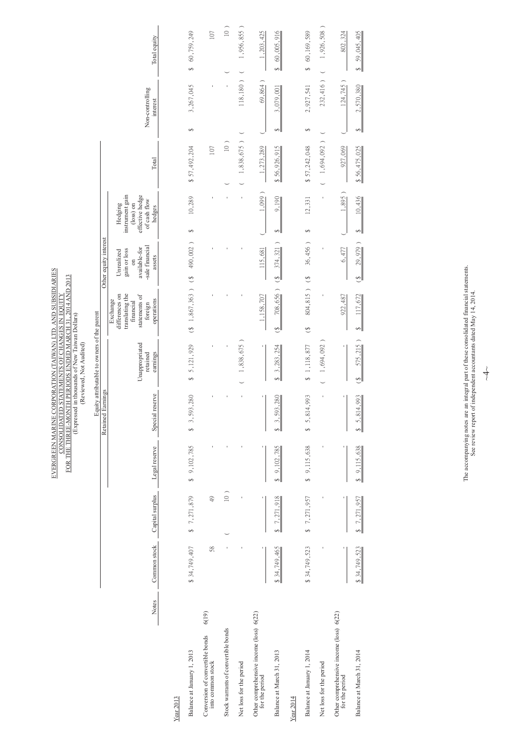|  |                                             | Total equity                                                                                         |                                                                                                                         | 60,759,249<br>s,               | 107                                                              | $\frac{1}{2}$                                | 1,956,855)                                 | 1,203,425                             | 60,005,916<br>÷                                    |                                                          | \$60,169,589                   | 1,926,508)                                                  | 802,324                               | 59,045,405<br>↔                                  |              |
|--|---------------------------------------------|------------------------------------------------------------------------------------------------------|-------------------------------------------------------------------------------------------------------------------------|--------------------------------|------------------------------------------------------------------|----------------------------------------------|--------------------------------------------|---------------------------------------|----------------------------------------------------|----------------------------------------------------------|--------------------------------|-------------------------------------------------------------|---------------------------------------|--------------------------------------------------|--------------|
|  |                                             | interest                                                                                             |                                                                                                                         | 3,267,045                      |                                                                  |                                              | 118,180)                                   | 69,864                                | 3,079,001                                          |                                                          | 2,927,541                      | 232,416)                                                    | 124,745)                              | 2,570,380                                        |              |
|  |                                             |                                                                                                      |                                                                                                                         | ↔                              |                                                                  |                                              |                                            |                                       | $\leftrightarrow$                                  |                                                          | ↔                              |                                                             |                                       | ↔                                                |              |
|  |                                             | Total                                                                                                |                                                                                                                         | \$57,492,204                   | 107                                                              |                                              |                                            | 1,273,289                             | \$56,926,915                                       |                                                          | \$57,242,048                   |                                                             | 927,069                               | \$56,475,025                                     |              |
|  |                                             | of cash flow<br>(loss) on<br>Hedging<br>hedges                                                       |                                                                                                                         | 10,289                         |                                                                  |                                              |                                            | $1,099$ )                             | 9,190                                              |                                                          | 12,331                         | ï                                                           | $1,895$ )                             | 10,436                                           |              |
|  |                                             |                                                                                                      |                                                                                                                         |                                |                                                                  |                                              |                                            |                                       |                                                    |                                                          |                                |                                                             |                                       | ↔                                                |              |
|  |                                             | assets<br>$\sin$                                                                                     |                                                                                                                         | $\hat{\epsilon}$               |                                                                  |                                              |                                            |                                       | ভ                                                  |                                                          |                                |                                                             |                                       | 29,979<br>ۻ                                      |              |
|  |                                             | translating the<br>differences on<br>statements of<br>operations<br>Exchange<br>financial<br>foreign |                                                                                                                         |                                |                                                                  |                                              |                                            | 1,158,707                             | الۍ                                                |                                                          | $\hat{\epsilon}$               |                                                             | 922, 487                              | 117,672                                          |              |
|  |                                             |                                                                                                      | Unappropriated<br>retained<br>earnings                                                                                  |                                | 5,121,929<br>$\leftrightarrow$                                   |                                              |                                            | 1,838,675)                            |                                                    | 3,283,254                                                |                                | \$ 1,118,877                                                | $1,694,092$ )                         |                                                  | 575,215<br>٩ |
|  |                                             | Special reserve                                                                                      |                                                                                                                         | 593,280<br>$\sim$<br>€         |                                                                  |                                              |                                            |                                       | 593,280<br>ച്ചി<br>∥⊸                              |                                                          | 814,993<br>$\overline{5}$<br>€ |                                                             |                                       | 814,993<br>$\S$ 5.                               |              |
|  |                                             | Legal reserve                                                                                        |                                                                                                                         | \$ 9,102,785                   |                                                                  |                                              |                                            |                                       | 9,102,785                                          |                                                          | \$9,115,638                    | ı                                                           |                                       | 9,115,638                                        |              |
|  |                                             | Capital surplus                                                                                      |                                                                                                                         | 7,271,879<br>$\leftrightarrow$ | $\ddot{ }$                                                       | $\frac{1}{2}$                                |                                            | ï                                     | 7,271,918                                          |                                                          | \$7,271,957                    |                                                             | ٠                                     | 7,271,957                                        |              |
|  |                                             | Common stock                                                                                         |                                                                                                                         | \$34,749,407                   | $58$                                                             |                                              |                                            |                                       | \$34,749,465                                       |                                                          | \$34,749,523                   |                                                             |                                       | \$34,749,523                                     |              |
|  |                                             | Notes                                                                                                |                                                                                                                         |                                | 6(19)<br>into common stock                                       |                                              |                                            | for the period                        |                                                    |                                                          |                                |                                                             | for the period                        | Balance at March 31, 2014                        |              |
|  | Equity attributable to owners of the parent | Other equity interest<br>Retained Earnings                                                           | Non-controlling<br>instrument gain<br>effective hedge<br>-sale financial<br>available-for<br>gain or loss<br>Unrealized |                                | €<br>490,002)<br>$(8 \t1,867,363)$<br>Balance at January 1, 2013 | Conversion of convertible bonds<br>Year 2013 | 10)<br>Stock warrants of convertible bonds | 1,838,675)<br>Net loss for the period | 115,681<br>Other comprehensive income (loss) 6(22) | ⊷<br>374,321<br>$708,656$ )<br>Balance at March 31, 2013 | Year 2014                      | ↔<br>36,456)<br>804,815 ) (\$<br>Balance at January 1, 2014 | 1,694,092)<br>Net loss for the period | 6,477<br>Other comprehensive income (loss) 6(22) |              |

The accompanying notes are an integral part of these consolidated financial statements.<br>See review report of independent accountants dated May  $14$ , 2014. The accompanying notes are an integral part of these consolidated financial statements. See review report of independent accountants dated May 14, 2014.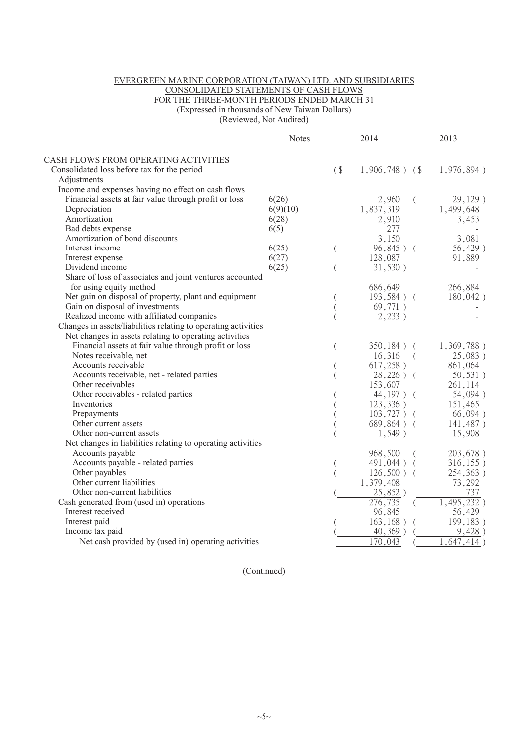## EVERGREEN MARINE CORPORATION (TAIWAN) LTD. AND SUBSIDIARIES CONSOLIDATED STATEMENTS OF CASH FLOWS FOR THE THREE-MONTH PERIODS ENDED MARCH 31 (Expressed in thousands of New Taiwan Dollars)

(Reviewed, Not Audited)

|                                                                | <b>Notes</b> |          | 2014                 |          | 2013          |
|----------------------------------------------------------------|--------------|----------|----------------------|----------|---------------|
| CASH FLOWS FROM OPERATING ACTIVITIES                           |              |          |                      |          |               |
| Consolidated loss before tax for the period                    |              | (        | $1,906,748$ ) (\$    |          | 1,976,894)    |
| Adjustments                                                    |              |          |                      |          |               |
| Income and expenses having no effect on cash flows             |              |          |                      |          |               |
| Financial assets at fair value through profit or loss          | 6(26)        |          | 2,960                | $\left($ | 29,129)       |
| Depreciation                                                   | 6(9)(10)     |          | 1,837,319            |          | 1,499,648     |
| Amortization                                                   | 6(28)        |          | 2,910                |          | 3,453         |
| Bad debts expense                                              | 6(5)         |          | 277                  |          |               |
| Amortization of bond discounts                                 |              |          | 3,150                |          | 3,081         |
| Interest income                                                | 6(25)        | $\left($ | $96,845$ ) (         |          | $56,429$ )    |
| Interest expense                                               | 6(27)        |          | 128,087              |          | 91,889        |
| Dividend income                                                | 6(25)        | $\left($ | 31,530)              |          |               |
| Share of loss of associates and joint ventures accounted       |              |          |                      |          |               |
| for using equity method                                        |              |          | 686,649              |          | 266,884       |
| Net gain on disposal of property, plant and equipment          |              |          | $193,584$ ) (        |          | $180,042$ )   |
| Gain on disposal of investments                                |              |          | 69,771)              |          |               |
| Realized income with affiliated companies                      |              |          | 2,233)               |          |               |
| Changes in assets/liabilities relating to operating activities |              |          |                      |          |               |
| Net changes in assets relating to operating activities         |              |          |                      |          |               |
| Financial assets at fair value through profit or loss          |              | $\left($ | $350,184$ ) (        |          | $1,369,788$ ) |
| Notes receivable, net                                          |              |          | 16,316<br>$\sqrt{2}$ |          | 25,083)       |
| Accounts receivable                                            |              |          | 617,258)             |          | 861,064       |
| Accounts receivable, net - related parties                     |              |          | $28,226)$ (          |          | 50, 531)      |
| Other receivables                                              |              |          | 153,607              |          | 261,114       |
| Other receivables - related parties                            |              |          | $44,197$ ) (         |          | 54,094)       |
| Inventories                                                    |              |          | 123,336)             |          | 151,465       |
| Prepayments                                                    |              |          | $103,727$ ) (        |          | 66,094)       |
| Other current assets                                           |              |          | $689,864$ ) (        |          | 141,487)      |
| Other non-current assets                                       |              |          | $1,549$ )            |          | 15,908        |
| Net changes in liabilities relating to operating activities    |              |          |                      |          |               |
| Accounts payable                                               |              |          | 968,500              | $\left($ | 203,678)      |
| Accounts payable - related parties                             |              |          | $491,044$ ) (        |          | 316, 155)     |
| Other payables                                                 |              |          | $126,500$ ) (        |          | 254,363)      |
| Other current liabilities                                      |              |          | 1,379,408            |          | 73,292        |
| Other non-current liabilities                                  |              |          | 25,852)              |          | 737           |
| Cash generated from (used in) operations                       |              |          | 276,735              |          | 1,495,232)    |
| Interest received                                              |              |          | 96,845               |          | 56,429        |
| Interest paid                                                  |              |          | $163, 168$ )         | $\left($ | 199,183)      |
| Income tax paid                                                |              |          | $40,369$ )           |          | 9,428)        |
| Net cash provided by (used in) operating activities            |              |          | 170,043              |          | 1,647,414)    |

(Continued)